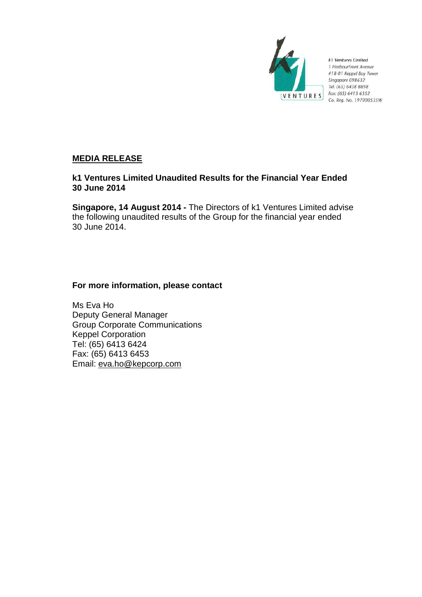

k1 Ventures Limited 1 HarbourFront Avenue #18-01 Keppel Bay Tower Singapore 098632 Tel: (65) 6438 8898 Fax: (65) 6413 6352 Co. Reg. No. 197000535W

# **MEDIA RELEASE**

# **k1 Ventures Limited Unaudited Results for the Financial Year Ended 30 June 2014**

**Singapore, 14 August 2014 -** The Directors of k1 Ventures Limited advise the following unaudited results of the Group for the financial year ended 30 June 2014.

# **For more information, please contact**

Ms Eva Ho Deputy General Manager Group Corporate Communications Keppel Corporation Tel: (65) 6413 6424 Fax: (65) 6413 6453 Email: eva.ho@kepcorp.com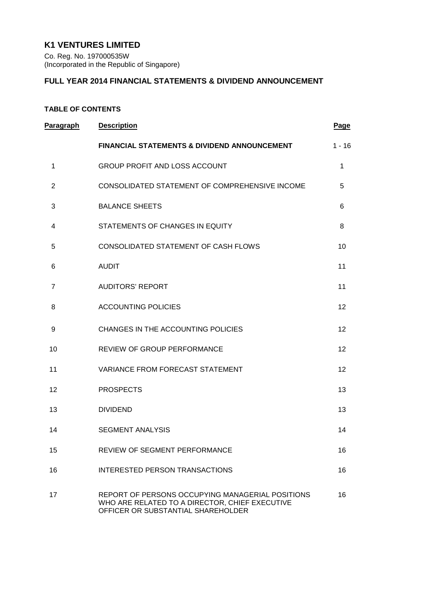# **K1 VENTURES LIMITED**

Co. Reg. No. 197000535W (Incorporated in the Republic of Singapore)

# **FULL YEAR 2014 FINANCIAL STATEMENTS & DIVIDEND ANNOUNCEMENT**

# **TABLE OF CONTENTS**

| Paragraph      | <b>Description</b>                                                                                                                       | Page     |
|----------------|------------------------------------------------------------------------------------------------------------------------------------------|----------|
|                | <b>FINANCIAL STATEMENTS &amp; DIVIDEND ANNOUNCEMENT</b>                                                                                  | $1 - 16$ |
| 1              | <b>GROUP PROFIT AND LOSS ACCOUNT</b>                                                                                                     | 1        |
| $\overline{2}$ | CONSOLIDATED STATEMENT OF COMPREHENSIVE INCOME                                                                                           | 5        |
| 3              | <b>BALANCE SHEETS</b>                                                                                                                    | 6        |
| 4              | STATEMENTS OF CHANGES IN EQUITY                                                                                                          | 8        |
| 5              | CONSOLIDATED STATEMENT OF CASH FLOWS                                                                                                     | 10       |
| 6              | <b>AUDIT</b>                                                                                                                             | 11       |
| $\overline{7}$ | <b>AUDITORS' REPORT</b>                                                                                                                  | 11       |
| 8              | <b>ACCOUNTING POLICIES</b>                                                                                                               | 12       |
| 9              | CHANGES IN THE ACCOUNTING POLICIES                                                                                                       | 12       |
| 10             | REVIEW OF GROUP PERFORMANCE                                                                                                              | 12       |
| 11             | <b>VARIANCE FROM FORECAST STATEMENT</b>                                                                                                  | 12       |
| 12             | <b>PROSPECTS</b>                                                                                                                         | 13       |
| 13             | <b>DIVIDEND</b>                                                                                                                          | 13       |
| 14             | <b>SEGMENT ANALYSIS</b>                                                                                                                  | 14       |
| 15             | <b>REVIEW OF SEGMENT PERFORMANCE</b>                                                                                                     | 16       |
| 16             | <b>INTERESTED PERSON TRANSACTIONS</b>                                                                                                    | 16       |
| 17             | REPORT OF PERSONS OCCUPYING MANAGERIAL POSITIONS<br>WHO ARE RELATED TO A DIRECTOR, CHIEF EXECUTIVE<br>OFFICER OR SUBSTANTIAL SHAREHOLDER | 16       |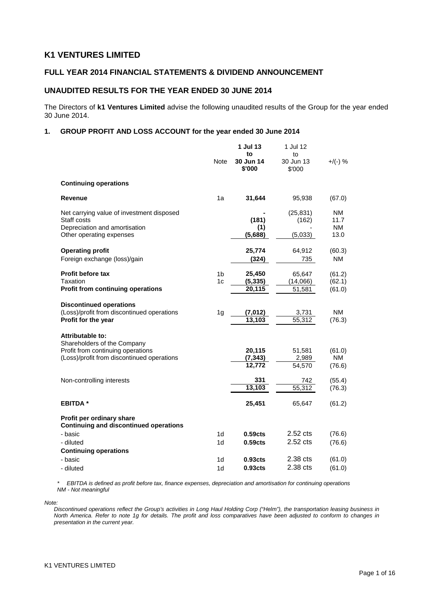# **K1 VENTURES LIMITED**

## **FULL YEAR 2014 FINANCIAL STATEMENTS & DIVIDEND ANNOUNCEMENT**

## **UNAUDITED RESULTS FOR THE YEAR ENDED 30 JUNE 2014**

The Directors of **k1 Ventures Limited** advise the following unaudited results of the Group for the year ended 30 June 2014.

### **1. GROUP PROFIT AND LOSS ACCOUNT for the year ended 30 June 2014**

|                                                                            | 1 Jul 13<br>to |                     | 1 Jul 12<br>to      |             |  |
|----------------------------------------------------------------------------|----------------|---------------------|---------------------|-------------|--|
|                                                                            | Note           | 30 Jun 14<br>\$'000 | 30 Jun 13<br>\$'000 | $+$ /(-) %  |  |
| <b>Continuing operations</b>                                               |                |                     |                     |             |  |
| <b>Revenue</b>                                                             | 1a             | 31,644              | 95,938              | (67.0)      |  |
| Net carrying value of investment disposed                                  |                |                     | (25, 831)           | NM          |  |
| Staff costs<br>Depreciation and amortisation                               |                | (181)<br>(1)        | (162)               | 11.7<br>NM. |  |
| Other operating expenses                                                   |                | (5,688)             | (5,033)             | 13.0        |  |
| <b>Operating profit</b>                                                    |                | 25,774              | 64,912              | (60.3)      |  |
| Foreign exchange (loss)/gain                                               |                | (324)               | 735                 | NM          |  |
| <b>Profit before tax</b>                                                   | 1 <sub>b</sub> | 25,450              | 65,647              | (61.2)      |  |
| Taxation                                                                   | 1 <sub>c</sub> | (5, 335)            | (14,066)            | (62.1)      |  |
| <b>Profit from continuing operations</b>                                   |                | 20,115              | 51,581              | (61.0)      |  |
| <b>Discontinued operations</b>                                             |                |                     |                     |             |  |
| (Loss)/profit from discontinued operations<br>Profit for the year          | 1 <sub>g</sub> | (7, 012)<br>13,103  | 3,731<br>55,312     | <b>NM</b>   |  |
|                                                                            |                |                     |                     | (76.3)      |  |
| <b>Attributable to:</b><br>Shareholders of the Company                     |                |                     |                     |             |  |
| Profit from continuing operations                                          |                | 20,115              | 51,581              | (61.0)      |  |
| (Loss)/profit from discontinued operations                                 |                | (7, 343)            | 2,989               | NM          |  |
|                                                                            |                | 12,772              | 54,570              | (76.6)      |  |
| Non-controlling interests                                                  |                | 331                 | 742                 | (55.4)      |  |
|                                                                            |                | 13,103              | 55.312              | (76.3)      |  |
| <b>EBITDA*</b>                                                             |                | 25,451              | 65,647              | (61.2)      |  |
| Profit per ordinary share<br><b>Continuing and discontinued operations</b> |                |                     |                     |             |  |
| - basic                                                                    | 1 <sub>d</sub> | 0.59 <sub>cts</sub> | 2.52 cts            | (76.6)      |  |
| - diluted                                                                  | 1 <sub>d</sub> | 0.59 <sub>cts</sub> | 2.52 cts            | (76.6)      |  |
| <b>Continuing operations</b>                                               |                |                     |                     |             |  |
| - basic                                                                    | 1 <sub>d</sub> | 0.93 <sub>cts</sub> | 2.38 cts            | (61.0)      |  |
| - diluted                                                                  | 1d             | 0.93 <sub>cts</sub> | 2.38 cts            | (61.0)      |  |

*\* EBITDA is defined as profit before tax, finance expenses, depreciation and amortisation for continuing operations NM - Not meaningful*

*Note:*

*Discontinued operations reflect the Group's activities in Long Haul Holding Corp ("Helm"), the transportation leasing business in North America. Refer to note 1g for details. The profit and loss comparatives have been adjusted to conform to changes in presentation in the current year.*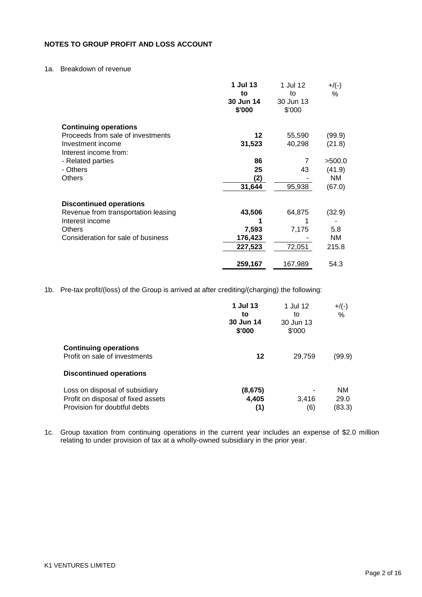## **NOTES TO GROUP PROFIT AND LOSS ACCOUNT**

## 1a. Breakdown of revenue

|                                            | 1 Jul 13<br>to      | 1 Jul 12<br>to      | $+$ /(-)<br>℅ |
|--------------------------------------------|---------------------|---------------------|---------------|
|                                            | 30 Jun 14<br>\$'000 | 30 Jun 13<br>\$'000 |               |
| <b>Continuing operations</b>               |                     |                     |               |
| Proceeds from sale of investments          | 12                  | 55,590              | (99.9)        |
| Investment income<br>Interest income from: | 31,523              | 40,298              | (21.8)        |
| - Related parties                          | 86                  | 7                   | >500.0        |
| - Others                                   | 25                  | 43                  | (41.9)        |
| Others                                     | (2)                 |                     | NM.           |
|                                            | 31,644              | 95,938              | (67.0)        |
| <b>Discontinued operations</b>             |                     |                     |               |
| Revenue from transportation leasing        | 43,506              | 64,875              | (32.9)        |
| Interest income                            |                     |                     |               |
| <b>Others</b>                              | 7,593               | 7,175               | 5.8           |
| Consideration for sale of business         | 176,423             |                     | NM.           |
|                                            | 227,523             | 72,051              | 215.8         |
|                                            | 259,167             | 167,989             | 54.3          |

1b. Pre-tax profit/(loss) of the Group is arrived at after crediting/(charging) the following:

|                                                                                                      | 1 Jul 13<br>to<br>30 Jun 14<br>\$'000 | 1 Jul 12<br>to<br>30 Jun 13<br>\$'000 | $+$ /(-)<br>%               |
|------------------------------------------------------------------------------------------------------|---------------------------------------|---------------------------------------|-----------------------------|
| <b>Continuing operations</b><br>Profit on sale of investments                                        | 12                                    | 29,759                                | (99.9)                      |
| <b>Discontinued operations</b>                                                                       |                                       |                                       |                             |
| Loss on disposal of subsidiary<br>Profit on disposal of fixed assets<br>Provision for doubtful debts | (8,675)<br>4,405<br>(1)               | 3.416<br>(6)                          | <b>NM</b><br>29.0<br>(83.3) |

1c. Group taxation from continuing operations in the current year includes an expense of \$2.0 million relating to under provision of tax at a wholly-owned subsidiary in the prior year.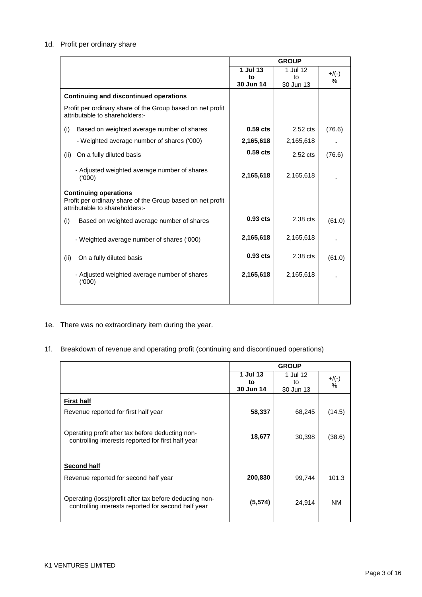## 1d. Profit per ordinary share

|                                                                                                                              | <b>GROUP</b> |            |         |
|------------------------------------------------------------------------------------------------------------------------------|--------------|------------|---------|
|                                                                                                                              | 1 Jul 13     | 1 Jul 12   | $+/(-)$ |
|                                                                                                                              | to           | to         | $\%$    |
|                                                                                                                              | 30 Jun 14    | 30 Jun 13  |         |
| <b>Continuing and discontinued operations</b>                                                                                |              |            |         |
| Profit per ordinary share of the Group based on net profit<br>attributable to shareholders:-                                 |              |            |         |
| Based on weighted average number of shares<br>(i)                                                                            | $0.59$ cts   | $2.52$ cts | (76.6)  |
| - Weighted average number of shares ('000)                                                                                   | 2,165,618    | 2,165,618  |         |
| On a fully diluted basis<br>(ii)                                                                                             | $0.59$ cts   | $2.52$ cts | (76.6)  |
| - Adjusted weighted average number of shares<br>(000)                                                                        | 2,165,618    | 2,165,618  |         |
| <b>Continuing operations</b><br>Profit per ordinary share of the Group based on net profit<br>attributable to shareholders:- |              |            |         |
| (i)<br>Based on weighted average number of shares                                                                            | $0.93$ cts   | 2.38 cts   | (61.0)  |
| - Weighted average number of shares ('000)                                                                                   | 2,165,618    | 2,165,618  |         |
| On a fully diluted basis<br>(ii)                                                                                             | $0.93$ cts   | 2.38 cts   | (61.0)  |
| - Adjusted weighted average number of shares<br>(000)                                                                        | 2,165,618    | 2,165,618  |         |
|                                                                                                                              |              |            |         |

- 1e. There was no extraordinary item during the year.
- 1f. Breakdown of revenue and operating profit (continuing and discontinued operations)

|                                                         | <b>GROUP</b> |           |           |
|---------------------------------------------------------|--------------|-----------|-----------|
|                                                         | 1 Jul 13     | 1 Jul 12  | $+$ /(-)  |
|                                                         | to           | to        | $\%$      |
|                                                         | 30 Jun 14    | 30 Jun 13 |           |
| <b>First half</b>                                       |              |           |           |
| Revenue reported for first half year                    | 58,337       | 68,245    | (14.5)    |
|                                                         |              |           |           |
| Operating profit after tax before deducting non-        | 18,677       | 30,398    | (38.6)    |
| controlling interests reported for first half year      |              |           |           |
|                                                         |              |           |           |
| <b>Second half</b>                                      |              |           |           |
| Revenue reported for second half year                   | 200,830      | 99,744    | 101.3     |
|                                                         |              |           |           |
| Operating (loss)/profit after tax before deducting non- | (5, 574)     | 24,914    | <b>NM</b> |
| controlling interests reported for second half year     |              |           |           |
|                                                         |              |           |           |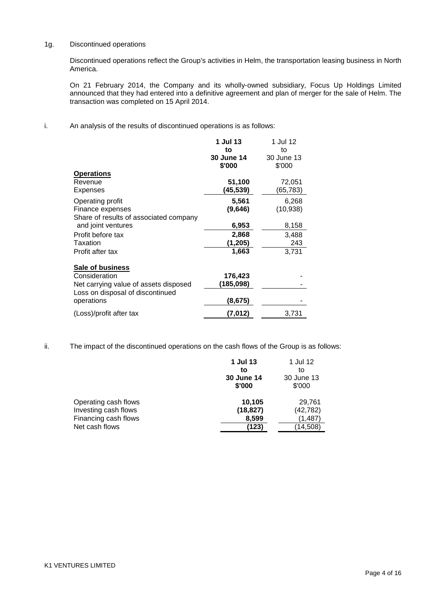## 1g. Discontinued operations

Discontinued operations reflect the Group's activities in Helm, the transportation leasing business in North America.

On 21 February 2014, the Company and its wholly-owned subsidiary, Focus Up Holdings Limited announced that they had entered into a definitive agreement and plan of merger for the sale of Helm. The transaction was completed on 15 April 2014.

i. An analysis of the results of discontinued operations is as follows:

|                                        | 1 Jul 13                   | 1 Jul 12                   |
|----------------------------------------|----------------------------|----------------------------|
|                                        | to<br>30 June 14<br>\$'000 | to<br>30 June 13<br>\$'000 |
| <b>Operations</b>                      |                            |                            |
| Revenue                                | 51,100                     | 72,051                     |
| Expenses                               | (45,539)                   | (65,783)                   |
| Operating profit                       | 5,561                      | 6,268                      |
| Finance expenses                       | (9,646)                    | (10, 938)                  |
| Share of results of associated company |                            |                            |
| and joint ventures                     | 6,953                      | 8,158                      |
| Profit before tax                      | 2,868                      | 3,488                      |
| Taxation                               | (1,205)                    | 243                        |
| Profit after tax                       | 1,663                      | 3,731                      |
| <b>Sale of business</b>                |                            |                            |
| Consideration                          | 176,423                    |                            |
| Net carrying value of assets disposed  | (185,098)                  |                            |
| Loss on disposal of discontinued       |                            |                            |
| operations                             | (8,675)                    |                            |
| (Loss)/profit after tax                | (7, 012)                   | 3,731                      |

ii. The impact of the discontinued operations on the cash flows of the Group is as follows:

|                      | 1 Jul 13          | 1 Jul 12   |
|----------------------|-------------------|------------|
|                      | to                | to         |
|                      | <b>30 June 14</b> | 30 June 13 |
|                      | \$'000            | \$'000     |
| Operating cash flows | 10,105            | 29.761     |
| Investing cash flows | (18, 827)         | (42, 782)  |
| Financing cash flows | 8,599             | (1,487)    |
| Net cash flows       | (123)             | (14,508)   |
|                      |                   |            |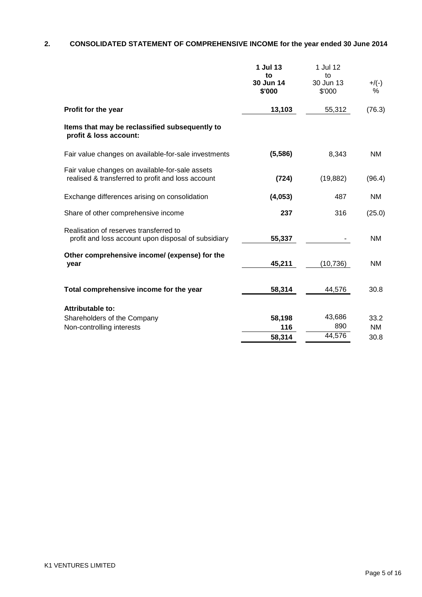# **2. CONSOLIDATED STATEMENT OF COMPREHENSIVE INCOME for the year ended 30 June 2014**

|                                                                                                      | 1 Jul 13<br>to<br>30 Jun 14<br>\$'000 | 1 Jul 12<br>to<br>30 Jun 13<br>\$'000 | $+/(-)$<br>℅ |
|------------------------------------------------------------------------------------------------------|---------------------------------------|---------------------------------------|--------------|
| Profit for the year                                                                                  | 13,103                                | 55,312                                | (76.3)       |
| Items that may be reclassified subsequently to<br>profit & loss account:                             |                                       |                                       |              |
| Fair value changes on available-for-sale investments                                                 | (5, 586)                              | 8,343                                 | <b>NM</b>    |
| Fair value changes on available-for-sale assets<br>realised & transferred to profit and loss account | (724)                                 | (19, 882)                             | (96.4)       |
| Exchange differences arising on consolidation                                                        | (4,053)                               | 487                                   | NM.          |
| Share of other comprehensive income                                                                  | 237                                   | 316                                   | (25.0)       |
| Realisation of reserves transferred to<br>profit and loss account upon disposal of subsidiary        | 55,337                                |                                       | ΝM           |
| Other comprehensive income/ (expense) for the<br>year                                                | 45,211                                | (10, 736)                             | <b>NM</b>    |
| Total comprehensive income for the year                                                              | 58,314                                | 44,576                                | 30.8         |
| Attributable to:                                                                                     |                                       |                                       |              |
| Shareholders of the Company                                                                          | 58,198                                | 43,686                                | 33.2         |
| Non-controlling interests                                                                            | 116                                   | 890                                   | NM.          |
|                                                                                                      | 58,314                                | 44,576                                | 30.8         |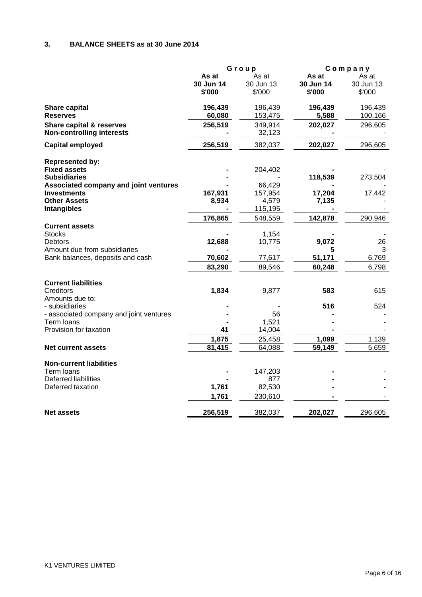# **3. BALANCE SHEETS as at 30 June 2014**

|                                                                  | Group     |           | Company   |            |
|------------------------------------------------------------------|-----------|-----------|-----------|------------|
|                                                                  | As at     | As at     | As at     | As at      |
|                                                                  | 30 Jun 14 | 30 Jun 13 | 30 Jun 14 | 30 Jun 13  |
|                                                                  | \$'000    | \$'000    | \$'000    | \$'000     |
| Share capital                                                    | 196,439   | 196,439   | 196,439   | 196,439    |
| <b>Reserves</b>                                                  | 60,080    | 153,475   | 5,588     | 100,166    |
| Share capital & reserves                                         | 256,519   | 349,914   | 202,027   | 296,605    |
| <b>Non-controlling interests</b>                                 |           | 32,123    |           |            |
| <b>Capital employed</b>                                          | 256,519   | 382,037   | 202,027   | 296,605    |
| <b>Represented by:</b>                                           |           |           |           |            |
| <b>Fixed assets</b>                                              |           | 204,402   |           |            |
| <b>Subsidiaries</b>                                              |           |           | 118,539   | 273,504    |
| Associated company and joint ventures                            |           | 66,429    |           |            |
| <b>Investments</b>                                               | 167,931   | 157,954   | 17,204    | 17,442     |
| <b>Other Assets</b>                                              | 8,934     | 4,579     | 7,135     |            |
| <b>Intangibles</b>                                               |           | 115,195   |           |            |
|                                                                  | 176,865   | 548,559   | 142,878   | 290,946    |
| <b>Current assets</b>                                            |           |           |           |            |
| <b>Stocks</b>                                                    |           | 1,154     |           |            |
| <b>Debtors</b>                                                   | 12,688    | 10,775    | 9,072     | 26         |
| Amount due from subsidiaries<br>Bank balances, deposits and cash | 70,602    | 77,617    | 51,171    | 3<br>6,769 |
|                                                                  |           | 89,546    |           |            |
|                                                                  | 83,290    |           | 60,248    | 6,798      |
| <b>Current liabilities</b>                                       |           |           |           |            |
| Creditors                                                        | 1,834     | 9,877     | 583       | 615        |
| Amounts due to:                                                  |           |           |           |            |
| - subsidiaries                                                   |           |           | 516       | 524        |
| - associated company and joint ventures                          |           | 56        |           |            |
| Term loans                                                       |           | 1,521     |           |            |
| Provision for taxation                                           | 41        | 14,004    |           |            |
|                                                                  | 1,875     | 25,458    | 1,099     | 1,139      |
| <b>Net current assets</b>                                        | 81,415    | 64,088    | 59,149    | 5,659      |
| <b>Non-current liabilities</b>                                   |           |           |           |            |
| Term loans                                                       |           | 147,203   |           |            |
| <b>Deferred liabilities</b>                                      |           | 877       |           |            |
| Deferred taxation                                                | 1,761     | 82,530    |           |            |
|                                                                  | 1,761     | 230,610   |           |            |
| <b>Net assets</b>                                                | 256,519   | 382,037   | 202,027   | 296,605    |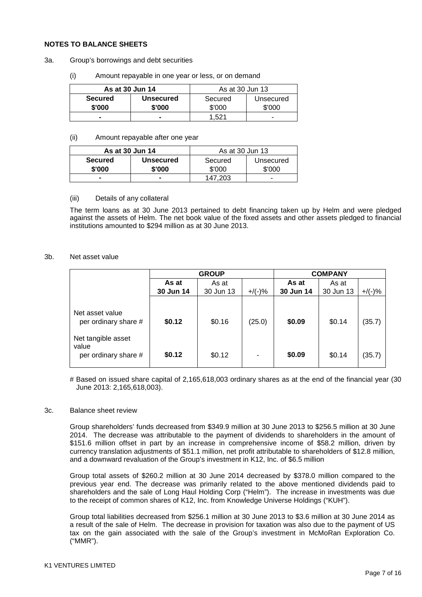### **NOTES TO BALANCE SHEETS**

- 3a. Group's borrowings and debt securities
	- (i) Amount repayable in one year or less, or on demand

| As at 30 Jun 14 |           | As at 30 Jun 13 |           |
|-----------------|-----------|-----------------|-----------|
| <b>Secured</b>  | Unsecured | Secured         | Unsecured |
| \$'000          | \$'000    | \$'000          | \$'000    |
|                 |           | 1.521           |           |

(ii) Amount repayable after one year

| As at 30 Jun 14          |                     | As at 30 Jun 13   |                     |
|--------------------------|---------------------|-------------------|---------------------|
| <b>Secured</b><br>\$'000 | Unsecured<br>\$'000 | Secured<br>\$'000 | Unsecured<br>\$'000 |
|                          |                     |                   |                     |
|                          |                     | 147.203           | -                   |

### (iii) Details of any collateral

The term loans as at 30 June 2013 pertained to debt financing taken up by Helm and were pledged against the assets of Helm. The net book value of the fixed assets and other assets pledged to financial institutions amounted to \$294 million as at 30 June 2013.

### 3b. Net asset value

|                                                                                                |                  | <b>GROUP</b>     |             | <b>COMPANY</b>   |                  |                  |
|------------------------------------------------------------------------------------------------|------------------|------------------|-------------|------------------|------------------|------------------|
|                                                                                                | As at            | As at            |             | As at            | As at            |                  |
|                                                                                                | 30 Jun 14        | 30 Jun 13        | $+/(-)$ %   | 30 Jun 14        | 30 Jun 13        | $+$ /(-)%        |
| Net asset value<br>per ordinary share #<br>Net tangible asset<br>value<br>per ordinary share # | \$0.12<br>\$0.12 | \$0.16<br>\$0.12 | (25.0)<br>- | \$0.09<br>\$0.09 | \$0.14<br>\$0.14 | (35.7)<br>(35.7) |

# Based on issued share capital of 2,165,618,003 ordinary shares as at the end of the financial year (30 June 2013: 2,165,618,003).

#### 3c. Balance sheet review

Group shareholders' funds decreased from \$349.9 million at 30 June 2013 to \$256.5 million at 30 June 2014. The decrease was attributable to the payment of dividends to shareholders in the amount of \$151.6 million offset in part by an increase in comprehensive income of \$58.2 million, driven by currency translation adjustments of \$51.1 million, net profit attributable to shareholders of \$12.8 million, and a downward revaluation of the Group's investment in K12, Inc. of \$6.5 million

Group total assets of \$260.2 million at 30 June 2014 decreased by \$378.0 million compared to the previous year end. The decrease was primarily related to the above mentioned dividends paid to shareholders and the sale of Long Haul Holding Corp ("Helm"). The increase in investments was due to the receipt of common shares of K12, Inc. from Knowledge Universe Holdings ("KUH").

Group total liabilities decreased from \$256.1 million at 30 June 2013 to \$3.6 million at 30 June 2014 as a result of the sale of Helm. The decrease in provision for taxation was also due to the payment of US tax on the gain associated with the sale of the Group's investment in McMoRan Exploration Co. ("MMR").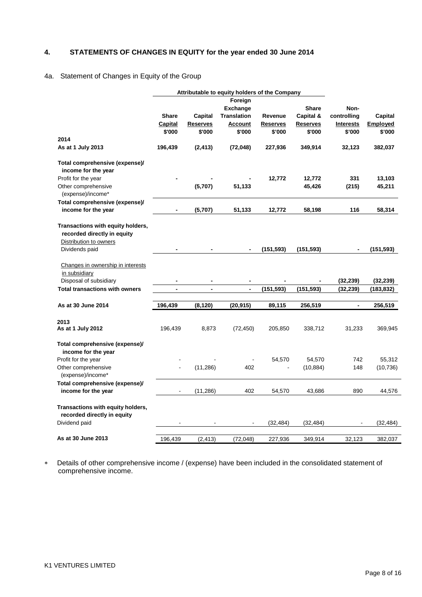# **4. STATEMENTS OF CHANGES IN EQUITY for the year ended 30 June 2014**

## 4a. Statement of Changes in Equity of the Group

|                                                       |                |                 | Attributable to equity holders of the Company |            |                 |                  |                 |
|-------------------------------------------------------|----------------|-----------------|-----------------------------------------------|------------|-----------------|------------------|-----------------|
|                                                       |                |                 | Foreign                                       |            |                 |                  |                 |
|                                                       |                |                 | <b>Exchange</b>                               |            | <b>Share</b>    | Non-             |                 |
|                                                       | <b>Share</b>   | Capital         | <b>Translation</b>                            | Revenue    | Capital &       | controlling      | Capital         |
|                                                       | Capital        | <b>Reserves</b> | <b>Account</b>                                | Reserves   | <b>Reserves</b> | <b>Interests</b> | <b>Employed</b> |
|                                                       | \$'000         | \$'000          | \$'000                                        | \$'000     | \$'000          | \$'000           | \$'000          |
| 2014                                                  |                |                 |                                               |            |                 |                  |                 |
| As at 1 July 2013                                     | 196,439        | (2, 413)        | (72, 048)                                     | 227,936    | 349,914         | 32,123           | 382,037         |
| Total comprehensive (expense)/                        |                |                 |                                               |            |                 |                  |                 |
| income for the year                                   |                |                 |                                               |            |                 |                  |                 |
| Profit for the year                                   |                |                 |                                               | 12,772     | 12,772          | 331              | 13,103          |
| Other comprehensive<br>(expense)/income*              |                | (5,707)         | 51,133                                        |            | 45,426          | (215)            | 45,211          |
| Total comprehensive (expense)/                        |                |                 |                                               |            |                 |                  |                 |
| income for the year                                   |                | (5,707)         | 51,133                                        | 12,772     | 58,198          | 116              | 58,314          |
| Transactions with equity holders,                     |                |                 |                                               |            |                 |                  |                 |
| recorded directly in equity                           |                |                 |                                               |            |                 |                  |                 |
| Distribution to owners                                |                |                 |                                               |            |                 |                  |                 |
| Dividends paid                                        |                |                 |                                               | (151, 593) | (151, 593)      |                  | (151, 593)      |
| Changes in ownership in interests                     |                |                 |                                               |            |                 |                  |                 |
| in subsidiary                                         |                |                 |                                               |            |                 |                  |                 |
| Disposal of subsidiary                                |                | $\blacksquare$  | $\blacksquare$                                |            |                 | (32, 239)        | (32, 239)       |
| <b>Total transactions with owners</b>                 | $\blacksquare$ | $\blacksquare$  | $\overline{\phantom{a}}$                      | (151,593)  | (151,593)       | (32,239)         | (183,832)       |
|                                                       |                |                 |                                               |            |                 |                  |                 |
| As at 30 June 2014                                    | 196,439        | (8, 120)        | (20, 915)                                     | 89,115     | 256,519         | $\blacksquare$   | 256,519         |
| 2013                                                  |                |                 |                                               |            |                 |                  |                 |
| As at 1 July 2012                                     | 196,439        | 8,873           | (72, 450)                                     | 205,850    | 338,712         | 31,233           | 369,945         |
| Total comprehensive (expense)/<br>income for the year |                |                 |                                               |            |                 |                  |                 |
| Profit for the year                                   |                |                 |                                               | 54,570     | 54,570          | 742              | 55,312          |
| Other comprehensive                                   |                | (11, 286)       | 402                                           |            | (10, 884)       | 148              | (10, 736)       |
| (expense)/income*                                     |                |                 |                                               |            |                 |                  |                 |
| Total comprehensive (expense)/                        |                |                 |                                               |            |                 |                  |                 |
| income for the year                                   |                | (11, 286)       | 402                                           | 54,570     | 43,686          | 890              | 44,576          |
| Transactions with equity holders,                     |                |                 |                                               |            |                 |                  |                 |
| recorded directly in equity                           |                |                 |                                               |            |                 |                  |                 |
| Dividend paid                                         |                |                 | $\blacksquare$                                | (32, 484)  | (32, 484)       |                  | (32, 484)       |
| As at 30 June 2013                                    | 196,439        | (2, 413)        | (72, 048)                                     | 227,936    | 349,914         | 32,123           | 382,037         |

∗ Details of other comprehensive income / (expense) have been included in the consolidated statement of comprehensive income.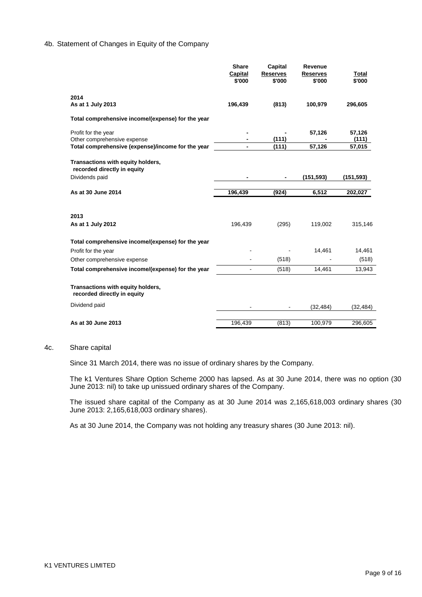### 4b. Statement of Changes in Equity of the Company

|                                                                                    | <b>Share</b><br>Capital<br>\$'000 | Capital<br><b>Reserves</b><br>\$'000 | Revenue<br><b>Reserves</b><br>\$'000 | Total<br>\$'000 |
|------------------------------------------------------------------------------------|-----------------------------------|--------------------------------------|--------------------------------------|-----------------|
| 2014<br>As at 1 July 2013                                                          | 196,439                           | (813)                                | 100,979                              | 296,605         |
| Total comprehensive income/(expense) for the year                                  |                                   |                                      |                                      |                 |
| Profit for the year<br>Other comprehensive expense                                 |                                   | (111)                                | 57,126                               | 57,126<br>(111) |
| Total comprehensive (expense)/income for the year                                  |                                   | (111)                                | 57,126                               | 57,015          |
| Transactions with equity holders,<br>recorded directly in equity<br>Dividends paid |                                   |                                      | (151, 593)                           | (151, 593)      |
| As at 30 June 2014                                                                 | 196.439                           | (924)                                | 6.512                                | 202,027         |
| 2013                                                                               |                                   |                                      |                                      |                 |
| As at 1 July 2012                                                                  | 196,439                           | (295)                                | 119,002                              | 315,146         |
| Total comprehensive income/(expense) for the year                                  |                                   |                                      |                                      |                 |
| Profit for the year                                                                |                                   |                                      | 14,461                               | 14,461          |
| Other comprehensive expense                                                        |                                   | (518)                                |                                      | (518)           |
| Total comprehensive income/(expense) for the year                                  | $\blacksquare$                    | (518)                                | 14,461                               | 13,943          |
| Transactions with equity holders,<br>recorded directly in equity                   |                                   |                                      |                                      |                 |
| Dividend paid                                                                      |                                   |                                      | (32, 484)                            | (32, 484)       |
| As at 30 June 2013                                                                 | 196,439                           | (813)                                | 100,979                              | 296,605         |

## 4c. Share capital

Since 31 March 2014, there was no issue of ordinary shares by the Company.

The k1 Ventures Share Option Scheme 2000 has lapsed. As at 30 June 2014, there was no option (30 June 2013: nil) to take up unissued ordinary shares of the Company.

The issued share capital of the Company as at 30 June 2014 was 2,165,618,003 ordinary shares (30 June 2013: 2,165,618,003 ordinary shares).

As at 30 June 2014, the Company was not holding any treasury shares (30 June 2013: nil).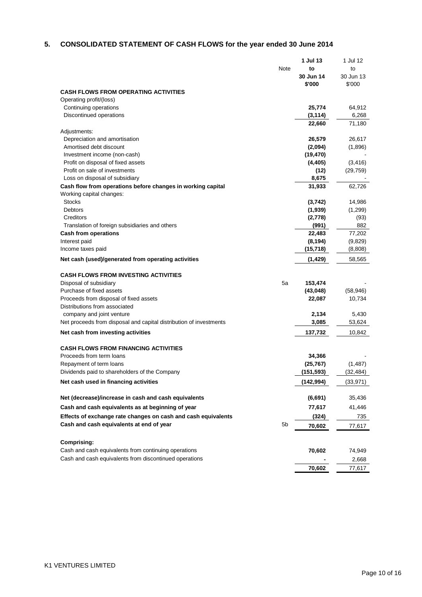# **5. CONSOLIDATED STATEMENT OF CASH FLOWS for the year ended 30 June 2014**

|                                                                    |      | 1 Jul 13   | 1 Jul 12  |
|--------------------------------------------------------------------|------|------------|-----------|
|                                                                    | Note | to         | to        |
|                                                                    |      | 30 Jun 14  | 30 Jun 13 |
|                                                                    |      | \$'000     | \$'000    |
| <b>CASH FLOWS FROM OPERATING ACTIVITIES</b>                        |      |            |           |
| Operating profit/(loss)                                            |      |            |           |
| Continuing operations                                              |      | 25,774     | 64,912    |
| Discontinued operations                                            |      | (3, 114)   | 6,268     |
|                                                                    |      | 22,660     | 71,180    |
| Adjustments:                                                       |      |            |           |
| Depreciation and amortisation                                      |      | 26,579     | 26,617    |
| Amortised debt discount                                            |      | (2,094)    | (1,896)   |
| Investment income (non-cash)                                       |      | (19, 470)  |           |
| Profit on disposal of fixed assets                                 |      | (4, 405)   | (3, 416)  |
| Profit on sale of investments                                      |      | (12)       | (29, 759) |
| Loss on disposal of subsidiary                                     |      | 8,675      |           |
| Cash flow from operations before changes in working capital        |      | 31,933     | 62,726    |
| Working capital changes:                                           |      |            |           |
| <b>Stocks</b>                                                      |      | (3,742)    | 14,986    |
| <b>Debtors</b>                                                     |      | (1,939)    | (1,299)   |
| Creditors                                                          |      | (2,778)    | (93)      |
| Translation of foreign subsidiaries and others                     |      | (991)      | 882       |
| <b>Cash from operations</b>                                        |      | 22,483     | 77,202    |
| Interest paid                                                      |      | (8, 194)   | (9,829)   |
| Income taxes paid                                                  |      | (15, 718)  | (8,808)   |
| Net cash (used)/generated from operating activities                |      | (1, 429)   | 58,565    |
| <b>CASH FLOWS FROM INVESTING ACTIVITIES</b>                        |      |            |           |
| Disposal of subsidiary                                             | 5a   | 153,474    |           |
| Purchase of fixed assets                                           |      | (43,048)   | (58, 946) |
| Proceeds from disposal of fixed assets                             |      | 22,087     | 10,734    |
| Distributions from associated                                      |      |            |           |
| company and joint venture                                          |      | 2,134      | 5,430     |
| Net proceeds from disposal and capital distribution of investments |      | 3,085      | 53,624    |
| Net cash from investing activities                                 |      | 137,732    | 10,842    |
|                                                                    |      |            |           |
| <b>CASH FLOWS FROM FINANCING ACTIVITIES</b>                        |      |            |           |
| Proceeds from term loans                                           |      | 34,366     |           |
| Repayment of term loans                                            |      | (25, 767)  | (1, 487)  |
| Dividends paid to shareholders of the Company                      |      | (151,593)  | (32, 484) |
| Net cash used in financing activities                              |      | (142, 994) | (33, 971) |
| Net (decrease)/increase in cash and cash equivalents               |      | (6, 691)   |           |
|                                                                    |      |            | 35,436    |
| Cash and cash equivalents as at beginning of year                  |      | 77,617     | 41,446    |
| Effects of exchange rate changes on cash and cash equivalents      |      | (324)      | 735       |
| Cash and cash equivalents at end of year                           | 5b   | 70,602     | 77,617    |
| <b>Comprising:</b>                                                 |      |            |           |
| Cash and cash equivalents from continuing operations               |      | 70,602     | 74,949    |
| Cash and cash equivalents from discontinued operations             |      |            |           |
|                                                                    |      |            | 2,668     |
|                                                                    |      | 70,602     | 77,617    |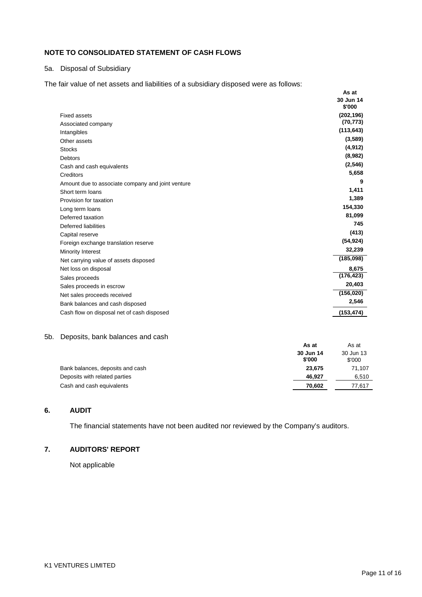# **NOTE TO CONSOLIDATED STATEMENT OF CASH FLOWS**

# 5a. Disposal of Subsidiary

The fair value of net assets and liabilities of a subsidiary disposed were as follows:

|                                                   | As at                   |
|---------------------------------------------------|-------------------------|
|                                                   | 30 Jun 14               |
|                                                   | \$'000                  |
| <b>Fixed assets</b>                               | (202, 196)<br>(70, 773) |
| Associated company                                |                         |
| Intangibles                                       | (113, 643)              |
| Other assets                                      | (3,589)                 |
| <b>Stocks</b>                                     | (4, 912)                |
| <b>Debtors</b>                                    | (8,982)                 |
| Cash and cash equivalents                         | (2,546)                 |
| Creditors                                         | 5,658                   |
| Amount due to associate company and joint venture | 9                       |
| Short term loans                                  | 1,411                   |
| Provision for taxation                            | 1,389                   |
| Long term loans                                   | 154,330                 |
| Deferred taxation                                 | 81,099                  |
| Deferred liabilities                              | 745                     |
| Capital reserve                                   | (413)                   |
| Foreign exchange translation reserve              | (54, 924)               |
| Minority Interest                                 | 32,239                  |
| Net carrying value of assets disposed             | (185,098)               |
| Net loss on disposal                              | 8,675                   |
| Sales proceeds                                    | (176, 423)              |
| Sales proceeds in escrow                          | 20,403                  |
| Net sales proceeds received                       | (156, 020)              |
| Bank balances and cash disposed                   | 2,546                   |
| Cash flow on disposal net of cash disposed        | (153, 474)              |

### 5b. Deposits, bank balances and cash

| <u>s opoono, barin baiariooo aria baoir</u> | As at<br>30 Jun 14<br>\$'000 | As at<br>30 Jun 13<br>\$'000 |
|---------------------------------------------|------------------------------|------------------------------|
| Bank balances, deposits and cash            | 23,675                       | 71,107                       |
| Deposits with related parties               | 46.927                       | 6,510                        |
| Cash and cash equivalents                   | 70,602                       | 77,617                       |

# **6. AUDIT**

The financial statements have not been audited nor reviewed by the Company's auditors.

# **7. AUDITORS' REPORT**

Not applicable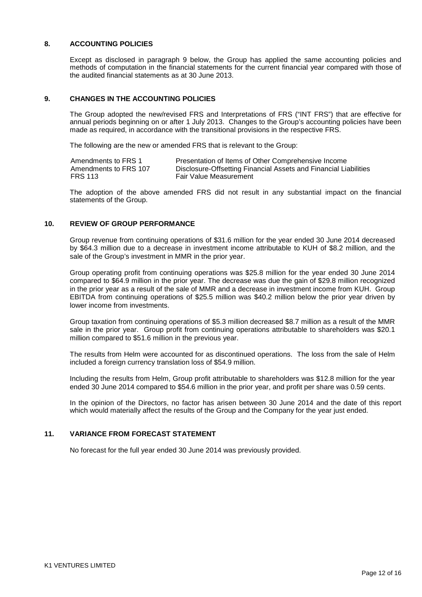## **8. ACCOUNTING POLICIES**

Except as disclosed in paragraph 9 below, the Group has applied the same accounting policies and methods of computation in the financial statements for the current financial year compared with those of the audited financial statements as at 30 June 2013.

## **9. CHANGES IN THE ACCOUNTING POLICIES**

The Group adopted the new/revised FRS and Interpretations of FRS ("INT FRS") that are effective for annual periods beginning on or after 1 July 2013. Changes to the Group's accounting policies have been made as required, in accordance with the transitional provisions in the respective FRS.

The following are the new or amended FRS that is relevant to the Group:

| Amendments to FRS 1   | Presentation of Items of Other Comprehensive Income              |
|-----------------------|------------------------------------------------------------------|
| Amendments to FRS 107 | Disclosure-Offsetting Financial Assets and Financial Liabilities |
| <b>FRS 113</b>        | <b>Fair Value Measurement</b>                                    |

The adoption of the above amended FRS did not result in any substantial impact on the financial statements of the Group.

## **10. REVIEW OF GROUP PERFORMANCE**

Group revenue from continuing operations of \$31.6 million for the year ended 30 June 2014 decreased by \$64.3 million due to a decrease in investment income attributable to KUH of \$8.2 million, and the sale of the Group's investment in MMR in the prior year.

Group operating profit from continuing operations was \$25.8 million for the year ended 30 June 2014 compared to \$64.9 million in the prior year. The decrease was due the gain of \$29.8 million recognized in the prior year as a result of the sale of MMR and a decrease in investment income from KUH. Group EBITDA from continuing operations of \$25.5 million was \$40.2 million below the prior year driven by lower income from investments.

Group taxation from continuing operations of \$5.3 million decreased \$8.7 million as a result of the MMR sale in the prior year. Group profit from continuing operations attributable to shareholders was \$20.1 million compared to \$51.6 million in the previous year.

The results from Helm were accounted for as discontinued operations. The loss from the sale of Helm included a foreign currency translation loss of \$54.9 million.

Including the results from Helm, Group profit attributable to shareholders was \$12.8 million for the year ended 30 June 2014 compared to \$54.6 million in the prior year, and profit per share was 0.59 cents.

In the opinion of the Directors, no factor has arisen between 30 June 2014 and the date of this report which would materially affect the results of the Group and the Company for the year just ended.

### **11. VARIANCE FROM FORECAST STATEMENT**

No forecast for the full year ended 30 June 2014 was previously provided.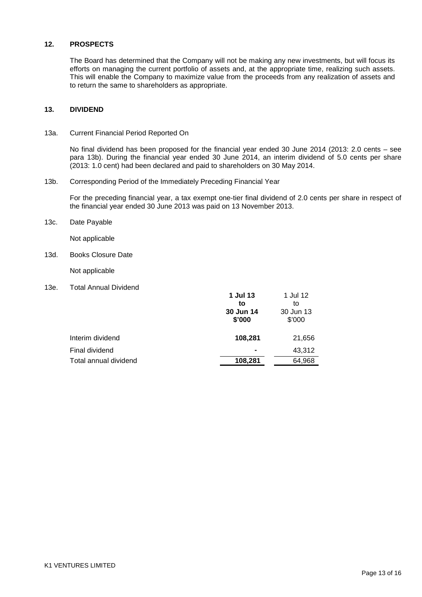## **12. PROSPECTS**

The Board has determined that the Company will not be making any new investments, but will focus its efforts on managing the current portfolio of assets and, at the appropriate time, realizing such assets. This will enable the Company to maximize value from the proceeds from any realization of assets and to return the same to shareholders as appropriate.

### **13. DIVIDEND**

13a. Current Financial Period Reported On

No final dividend has been proposed for the financial year ended 30 June 2014 (2013: 2.0 cents – see para 13b). During the financial year ended 30 June 2014, an interim dividend of 5.0 cents per share (2013: 1.0 cent) had been declared and paid to shareholders on 30 May 2014.

13b. Corresponding Period of the Immediately Preceding Financial Year

For the preceding financial year, a tax exempt one-tier final dividend of 2.0 cents per share in respect of the financial year ended 30 June 2013 was paid on 13 November 2013.

13c. Date Payable

Not applicable

13d. Books Closure Date

Not applicable

13e. Total Annual Dividend

|                       | 1 Jul 13<br>to<br>30 Jun 14<br>\$'000 | 1 Jul 12<br>to<br>30 Jun 13<br>\$'000 |
|-----------------------|---------------------------------------|---------------------------------------|
| Interim dividend      | 108,281                               | 21,656                                |
| Final dividend        |                                       | 43,312                                |
| Total annual dividend | 108,281                               | 64,968                                |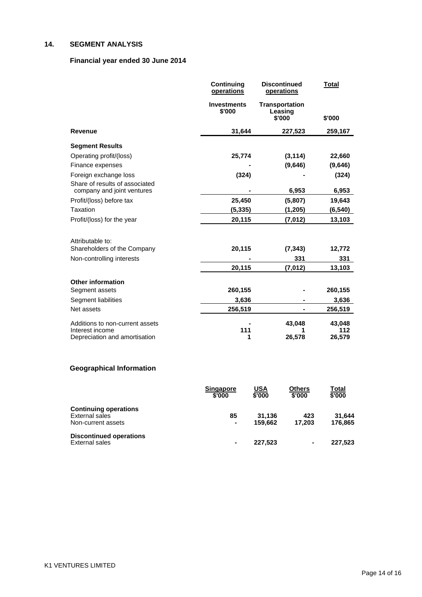# **14. SEGMENT ANALYSIS**

# **Financial year ended 30 June 2014**

|                                                                                     | Continuing<br>operations     | <b>Discontinued</b><br>operations          | <b>Total</b>            |
|-------------------------------------------------------------------------------------|------------------------------|--------------------------------------------|-------------------------|
|                                                                                     | <b>Investments</b><br>\$'000 | <b>Transportation</b><br>Leasing<br>\$'000 | \$'000                  |
| <b>Revenue</b>                                                                      | 31,644                       | 227,523                                    | 259,167                 |
| <b>Segment Results</b>                                                              |                              |                                            |                         |
| Operating profit/(loss)                                                             | 25,774                       | (3, 114)                                   | 22,660                  |
| Finance expenses                                                                    |                              | (9,646)                                    | (9,646)                 |
| Foreign exchange loss                                                               | (324)                        |                                            | (324)                   |
| Share of results of associated<br>company and joint ventures                        |                              | 6,953                                      | 6,953                   |
| Profit/(loss) before tax                                                            | 25,450                       | (5,807)                                    | 19,643                  |
| Taxation                                                                            | (5, 335)                     | (1, 205)                                   | (6, 540)                |
| Profit/(loss) for the year                                                          | 20,115                       | (7,012)                                    | 13,103                  |
|                                                                                     |                              |                                            |                         |
| Attributable to:                                                                    |                              |                                            |                         |
| Shareholders of the Company                                                         | 20,115                       | (7, 343)                                   | 12,772                  |
| Non-controlling interests                                                           |                              | 331                                        | 331                     |
|                                                                                     | 20,115                       | (7,012)                                    | 13,103                  |
| <b>Other information</b>                                                            |                              |                                            |                         |
| Segment assets                                                                      | 260,155                      |                                            | 260,155                 |
| Segment liabilities                                                                 | 3,636                        |                                            | 3,636                   |
| Net assets                                                                          | 256,519                      |                                            | 256,519                 |
| Additions to non-current assets<br>Interest income<br>Depreciation and amortisation | 111<br>1                     | 43,048<br>26,578                           | 43,048<br>112<br>26,579 |
|                                                                                     |                              |                                            |                         |

# **Geographical Information**

|                                                                      | <b>Singapore</b><br>\$'000 | USA<br>\$'000     | Others<br>\$'000 | Total<br>\$'000   |
|----------------------------------------------------------------------|----------------------------|-------------------|------------------|-------------------|
| <b>Continuing operations</b><br>External sales<br>Non-current assets | 85<br>$\blacksquare$       | 31.136<br>159.662 | 423<br>17.203    | 31.644<br>176.865 |
| <b>Discontinued operations</b><br>External sales                     | $\blacksquare$             | 227.523           | ۰                | 227,523           |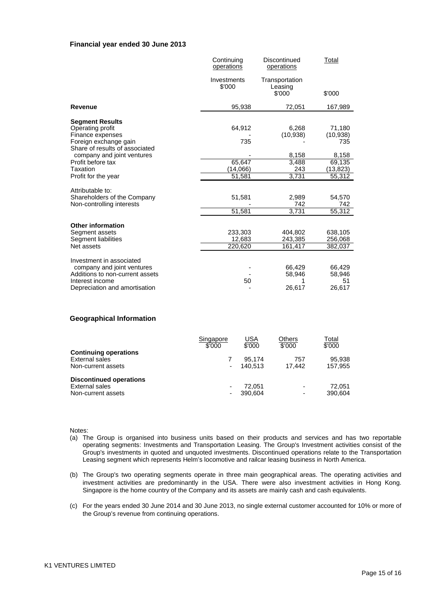### **Financial year ended 30 June 2013**

|                                                         | Continuing<br>operations | Discontinued<br>operations | <b>Total</b> |
|---------------------------------------------------------|--------------------------|----------------------------|--------------|
|                                                         | Investments<br>\$'000    | Transportation<br>Leasing  |              |
|                                                         |                          | \$'000                     | \$'000       |
| <b>Revenue</b>                                          | 95,938                   | 72,051                     | 167,989      |
| <b>Segment Results</b>                                  |                          |                            |              |
| Operating profit                                        | 64,912                   | 6,268                      | 71,180       |
| Finance expenses                                        |                          | (10, 938)                  | (10, 938)    |
| Foreign exchange gain<br>Share of results of associated | 735                      |                            | 735          |
| company and joint ventures                              |                          | 8,158                      | 8,158        |
| Profit before tax                                       | 65,647                   | 3,488                      | 69,135       |
| Taxation                                                | (14,066)                 | 243                        | (13,823)     |
| Profit for the year                                     | 51,581                   | 3,731                      | 55,312       |
| Attributable to:                                        |                          |                            |              |
| Shareholders of the Company                             | 51,581                   | 2,989                      | 54,570       |
| Non-controlling interests                               |                          | 742                        | 742          |
|                                                         | 51,581                   | 3,731                      | 55,312       |
| <b>Other information</b>                                |                          |                            |              |
| Segment assets                                          | 233,303                  | 404,802                    | 638,105      |
| Segment liabilities                                     | 12,683                   | 243,385                    | 256,068      |
| Net assets                                              | 220,620                  | 161,417                    | 382,037      |
| Investment in associated                                |                          |                            |              |
| company and joint ventures                              |                          | 66,429                     | 66,429       |
| Additions to non-current assets                         |                          | 58,946                     | 58,946       |
| Interest income                                         | 50                       | 1                          | 51           |
| Depreciation and amortisation                           |                          | 26,617                     | 26,617       |
|                                                         |                          |                            |              |

### **Geographical Information**

|                                                                        | Singapore<br>\$'000 | USA<br>\$'000     | Others<br>\$'000                                     | Total<br>\$'000   |
|------------------------------------------------------------------------|---------------------|-------------------|------------------------------------------------------|-------------------|
| <b>Continuing operations</b><br>External sales<br>Non-current assets   |                     | 95.174<br>140.513 | 757<br>17.442                                        | 95,938<br>157,955 |
| <b>Discontinued operations</b><br>External sales<br>Non-current assets |                     | 72.051<br>390.604 | $\overline{\phantom{a}}$<br>$\overline{\phantom{a}}$ | 72.051<br>390,604 |

Notes:

- (a) The Group is organised into business units based on their products and services and has two reportable operating segments: Investments and Transportation Leasing. The Group's Investment activities consist of the Group's investments in quoted and unquoted investments. Discontinued operations relate to the Transportation Leasing segment which represents Helm's locomotive and railcar leasing business in North America.
- (b) The Group's two operating segments operate in three main geographical areas. The operating activities and investment activities are predominantly in the USA. There were also investment activities in Hong Kong. Singapore is the home country of the Company and its assets are mainly cash and cash equivalents.
- (c) For the years ended 30 June 2014 and 30 June 2013, no single external customer accounted for 10% or more of the Group's revenue from continuing operations.